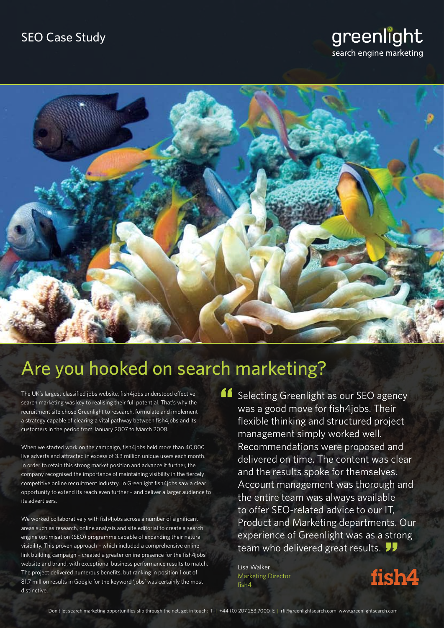# greenlight search engine marketing



# Are you hooked on search marketing?

The UK's largest classified jobs website, fish4jobs understood effective search marketing was key to realising their full potential. That's why the recruitment site chose Greenlight to research, formulate and implement a strategy capable of clearing a vital pathway between fish4jobs and its customers in the period from January 2007 to March 2008.

When we started work on the campaign, fish4jobs held more than 40,000 live adverts and attracted in excess of 3.3 million unique users each month. In order to retain this strong market position and advance it further, the company recognised the importance of maintaining visibility in the fiercely competitive online recruitment industry. In Greenlight fish4jobs saw a clear opportunity to extend its reach even further – and deliver a larger audience to its advertisers.

We worked collaboratively with fish4jobs across a number of significant areas such as research, online analysis and site editorial to create a search engine optimisation (SEO) programme capable of expanding their natural visibility. This proven approach – which included a comprehensive online link building campaign – created a greater online presence for the fish4jobs' website and brand, with exceptional business performance results to match. The project delivered numerous benefits, but ranking in position 1 out of 81.7 million results in Google for the keyword 'jobs' was certainly the most distinctive.

**Selecting Greenlight as our SEO agency**<br>was a good move for fish4jobs. Their<br>flexible thinking and structured project was a good move for fish4jobs. Their flexible thinking and structured project management simply worked well. Recommendations were proposed and delivered on time. The content was clear and the results spoke for themselves. Account management was thorough and the entire team was always available to offer SEO-related advice to our IT, Product and Marketing departments. Our experience of Greenlight was as a strong team who delivered great results. ts.<br>str

Lisa Walker Marketing Director fish4